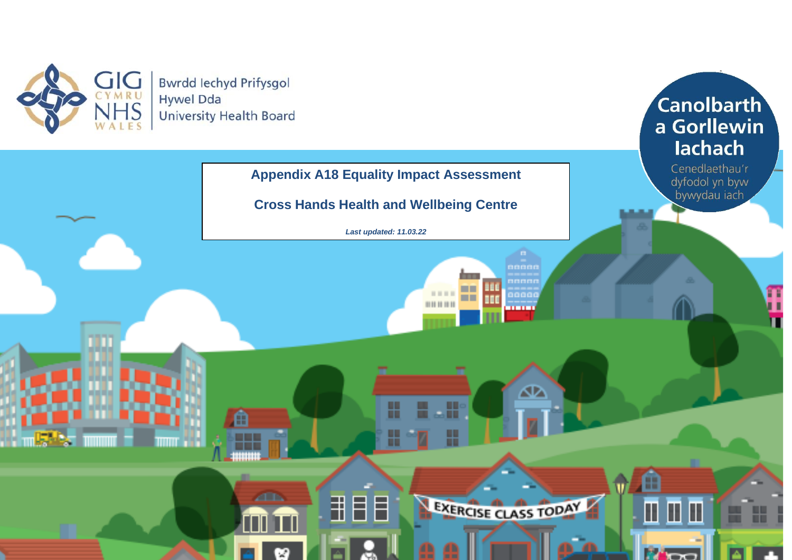



1

**Canolbarth**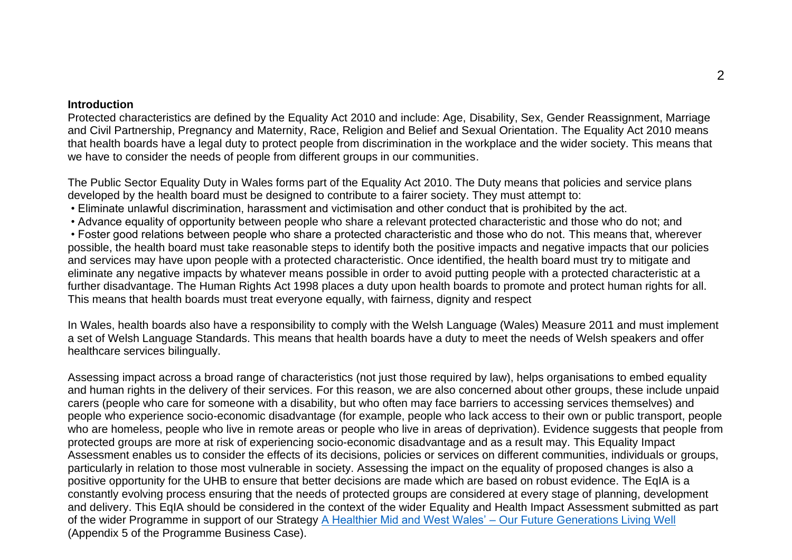#### **Introduction**

Protected characteristics are defined by the Equality Act 2010 and include: Age, Disability, Sex, Gender Reassignment, Marriage and Civil Partnership, Pregnancy and Maternity, Race, Religion and Belief and Sexual Orientation. The Equality Act 2010 means that health boards have a legal duty to protect people from discrimination in the workplace and the wider society. This means that we have to consider the needs of people from different groups in our communities.

The Public Sector Equality Duty in Wales forms part of the Equality Act 2010. The Duty means that policies and service plans developed by the health board must be designed to contribute to a fairer society. They must attempt to:

- Eliminate unlawful discrimination, harassment and victimisation and other conduct that is prohibited by the act.
- Advance equality of opportunity between people who share a relevant protected characteristic and those who do not; and

• Foster good relations between people who share a protected characteristic and those who do not. This means that, wherever possible, the health board must take reasonable steps to identify both the positive impacts and negative impacts that our policies and services may have upon people with a protected characteristic. Once identified, the health board must try to mitigate and eliminate any negative impacts by whatever means possible in order to avoid putting people with a protected characteristic at a further disadvantage. The Human Rights Act 1998 places a duty upon health boards to promote and protect human rights for all. This means that health boards must treat everyone equally, with fairness, dignity and respect

In Wales, health boards also have a responsibility to comply with the Welsh Language (Wales) Measure 2011 and must implement a set of Welsh Language Standards. This means that health boards have a duty to meet the needs of Welsh speakers and offer healthcare services bilingually.

Assessing impact across a broad range of characteristics (not just those required by law), helps organisations to embed equality and human rights in the delivery of their services. For this reason, we are also concerned about other groups, these include unpaid carers (people who care for someone with a disability, but who often may face barriers to accessing services themselves) and people who experience socio-economic disadvantage (for example, people who lack access to their own or public transport, people who are homeless, people who live in remote areas or people who live in areas of deprivation). Evidence suggests that people from protected groups are more at risk of experiencing socio-economic disadvantage and as a result may. This Equality Impact Assessment enables us to consider the effects of its decisions, policies or services on different communities, individuals or groups, particularly in relation to those most vulnerable in society. Assessing the impact on the equality of proposed changes is also a positive opportunity for the UHB to ensure that better decisions are made which are based on robust evidence. The EqIA is a constantly evolving process ensuring that the needs of protected groups are considered at every stage of planning, development and delivery. This EqIA should be considered in the context of the wider Equality and Health Impact Assessment submitted as part of the wider Programme in support of our Strategy [A Healthier Mid and West Wales' –](https://hduhb.nhs.wales/about-us/healthier-mid-and-west-wales/healthier-mid-and-west-wales-folder/documents/a-healthier-mid-and-west-wales-strategy/) Our Future Generations Living Well (Appendix 5 of the Programme Business Case).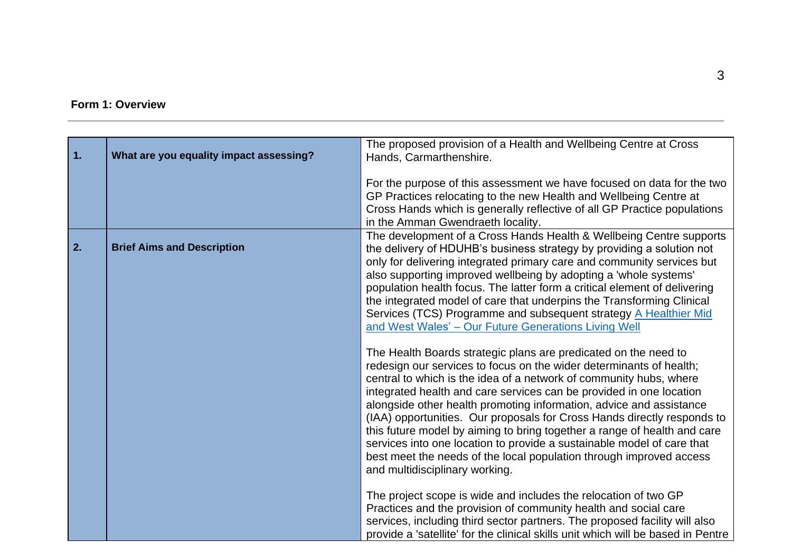# **Form 1: Overview**

| $\overline{1}$ . | What are you equality impact assessing? | The proposed provision of a Health and Wellbeing Centre at Cross<br>Hands, Carmarthenshire.                                                                                                                                                                                                                                                                                                                                                                                                                                                                                                                                                                                                          |
|------------------|-----------------------------------------|------------------------------------------------------------------------------------------------------------------------------------------------------------------------------------------------------------------------------------------------------------------------------------------------------------------------------------------------------------------------------------------------------------------------------------------------------------------------------------------------------------------------------------------------------------------------------------------------------------------------------------------------------------------------------------------------------|
|                  |                                         | For the purpose of this assessment we have focused on data for the two<br>GP Practices relocating to the new Health and Wellbeing Centre at<br>Cross Hands which is generally reflective of all GP Practice populations<br>in the Amman Gwendraeth locality.                                                                                                                                                                                                                                                                                                                                                                                                                                         |
| 2.               | <b>Brief Aims and Description</b>       | The development of a Cross Hands Health & Wellbeing Centre supports<br>the delivery of HDUHB's business strategy by providing a solution not<br>only for delivering integrated primary care and community services but<br>also supporting improved wellbeing by adopting a 'whole systems'<br>population health focus. The latter form a critical element of delivering<br>the integrated model of care that underpins the Transforming Clinical<br>Services (TCS) Programme and subsequent strategy A Healthier Mid<br>and West Wales' - Our Future Generations Living Well                                                                                                                         |
|                  |                                         | The Health Boards strategic plans are predicated on the need to<br>redesign our services to focus on the wider determinants of health;<br>central to which is the idea of a network of community hubs, where<br>integrated health and care services can be provided in one location<br>alongside other health promoting information, advice and assistance<br>(IAA) opportunities. Our proposals for Cross Hands directly responds to<br>this future model by aiming to bring together a range of health and care<br>services into one location to provide a sustainable model of care that<br>best meet the needs of the local population through improved access<br>and multidisciplinary working. |
|                  |                                         | The project scope is wide and includes the relocation of two GP<br>Practices and the provision of community health and social care<br>services, including third sector partners. The proposed facility will also<br>provide a 'satellite' for the clinical skills unit which will be based in Pentre                                                                                                                                                                                                                                                                                                                                                                                                 |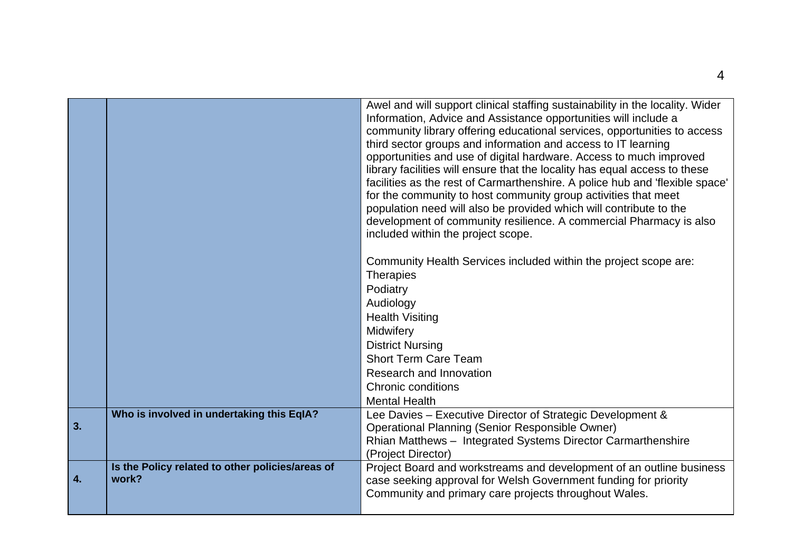|              |                                                           | Awel and will support clinical staffing sustainability in the locality. Wider<br>Information, Advice and Assistance opportunities will include a<br>community library offering educational services, opportunities to access<br>third sector groups and information and access to IT learning<br>opportunities and use of digital hardware. Access to much improved<br>library facilities will ensure that the locality has equal access to these<br>facilities as the rest of Carmarthenshire. A police hub and 'flexible space'<br>for the community to host community group activities that meet<br>population need will also be provided which will contribute to the<br>development of community resilience. A commercial Pharmacy is also<br>included within the project scope. |
|--------------|-----------------------------------------------------------|---------------------------------------------------------------------------------------------------------------------------------------------------------------------------------------------------------------------------------------------------------------------------------------------------------------------------------------------------------------------------------------------------------------------------------------------------------------------------------------------------------------------------------------------------------------------------------------------------------------------------------------------------------------------------------------------------------------------------------------------------------------------------------------|
|              |                                                           | Community Health Services included within the project scope are:<br><b>Therapies</b><br>Podiatry<br>Audiology<br><b>Health Visiting</b><br>Midwifery<br><b>District Nursing</b>                                                                                                                                                                                                                                                                                                                                                                                                                                                                                                                                                                                                       |
|              |                                                           | <b>Short Term Care Team</b>                                                                                                                                                                                                                                                                                                                                                                                                                                                                                                                                                                                                                                                                                                                                                           |
|              |                                                           | Research and Innovation<br>Chronic conditions                                                                                                                                                                                                                                                                                                                                                                                                                                                                                                                                                                                                                                                                                                                                         |
|              |                                                           | <b>Mental Health</b>                                                                                                                                                                                                                                                                                                                                                                                                                                                                                                                                                                                                                                                                                                                                                                  |
| 3.           | Who is involved in undertaking this EqIA?                 | Lee Davies - Executive Director of Strategic Development &<br><b>Operational Planning (Senior Responsible Owner)</b><br>Rhian Matthews - Integrated Systems Director Carmarthenshire<br>(Project Director)                                                                                                                                                                                                                                                                                                                                                                                                                                                                                                                                                                            |
| $\mathbf{4}$ | Is the Policy related to other policies/areas of<br>work? | Project Board and workstreams and development of an outline business<br>case seeking approval for Welsh Government funding for priority<br>Community and primary care projects throughout Wales.                                                                                                                                                                                                                                                                                                                                                                                                                                                                                                                                                                                      |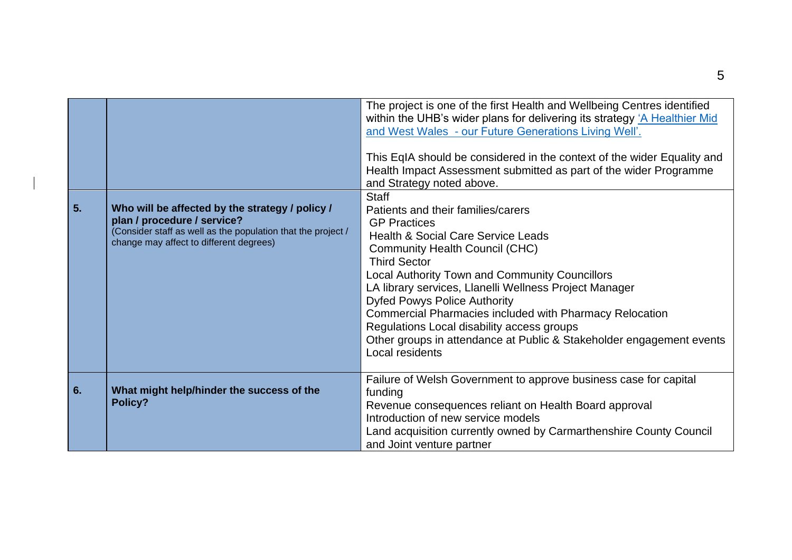| 5. | Who will be affected by the strategy / policy /<br>plan / procedure / service?<br>(Consider staff as well as the population that the project /<br>change may affect to different degrees) | The project is one of the first Health and Wellbeing Centres identified<br>within the UHB's wider plans for delivering its strategy 'A Healthier Mid<br>and West Wales - our Future Generations Living Well'.<br>This EqIA should be considered in the context of the wider Equality and<br>Health Impact Assessment submitted as part of the wider Programme<br>and Strategy noted above.<br><b>Staff</b><br>Patients and their families/carers<br><b>GP Practices</b><br><b>Health &amp; Social Care Service Leads</b><br><b>Community Health Council (CHC)</b><br><b>Third Sector</b><br><b>Local Authority Town and Community Councillors</b><br>LA library services, Llanelli Wellness Project Manager<br><b>Dyfed Powys Police Authority</b><br><b>Commercial Pharmacies included with Pharmacy Relocation</b><br>Regulations Local disability access groups<br>Other groups in attendance at Public & Stakeholder engagement events<br>Local residents |
|----|-------------------------------------------------------------------------------------------------------------------------------------------------------------------------------------------|---------------------------------------------------------------------------------------------------------------------------------------------------------------------------------------------------------------------------------------------------------------------------------------------------------------------------------------------------------------------------------------------------------------------------------------------------------------------------------------------------------------------------------------------------------------------------------------------------------------------------------------------------------------------------------------------------------------------------------------------------------------------------------------------------------------------------------------------------------------------------------------------------------------------------------------------------------------|
| 6. | What might help/hinder the success of the<br>Policy?                                                                                                                                      | Failure of Welsh Government to approve business case for capital<br>funding<br>Revenue consequences reliant on Health Board approval<br>Introduction of new service models<br>Land acquisition currently owned by Carmarthenshire County Council<br>and Joint venture partner                                                                                                                                                                                                                                                                                                                                                                                                                                                                                                                                                                                                                                                                                 |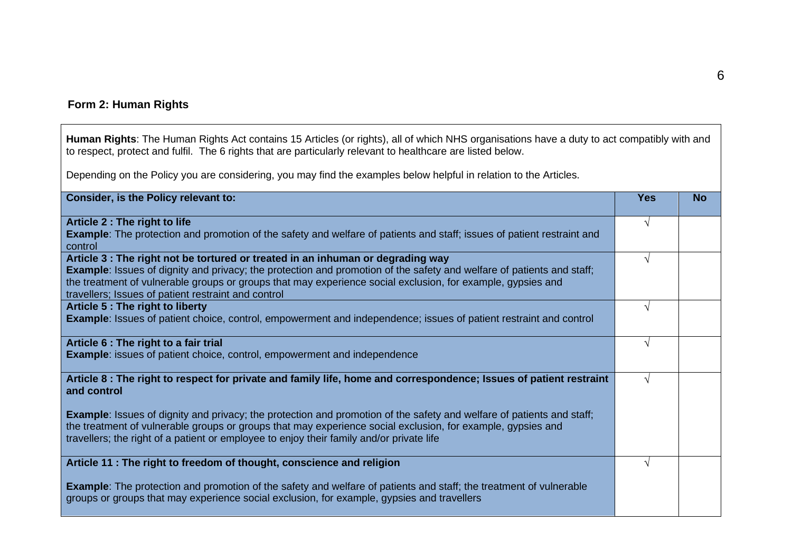## **Form 2: Human Rights**

**Human Rights**: The Human Rights Act contains 15 Articles (or rights), all of which NHS organisations have a duty to act compatibly with and to respect, protect and fulfil. The 6 rights that are particularly relevant to healthcare are listed below.

Depending on the Policy you are considering, you may find the examples below helpful in relation to the Articles.

| Consider, is the Policy relevant to:                                                                                                                                                                                                                                                                                                    | <b>Yes</b> | <b>No</b> |
|-----------------------------------------------------------------------------------------------------------------------------------------------------------------------------------------------------------------------------------------------------------------------------------------------------------------------------------------|------------|-----------|
| Article 2 : The right to life                                                                                                                                                                                                                                                                                                           |            |           |
| <b>Example:</b> The protection and promotion of the safety and welfare of patients and staff; issues of patient restraint and<br>control                                                                                                                                                                                                |            |           |
| Article 3 : The right not be tortured or treated in an inhuman or degrading way                                                                                                                                                                                                                                                         | V          |           |
| <b>Example:</b> Issues of dignity and privacy; the protection and promotion of the safety and welfare of patients and staff;                                                                                                                                                                                                            |            |           |
| the treatment of vulnerable groups or groups that may experience social exclusion, for example, gypsies and                                                                                                                                                                                                                             |            |           |
| travellers; Issues of patient restraint and control                                                                                                                                                                                                                                                                                     |            |           |
| Article 5 : The right to liberty                                                                                                                                                                                                                                                                                                        |            |           |
| <b>Example:</b> Issues of patient choice, control, empowerment and independence; issues of patient restraint and control                                                                                                                                                                                                                |            |           |
| Article 6 : The right to a fair trial                                                                                                                                                                                                                                                                                                   |            |           |
| <b>Example:</b> issues of patient choice, control, empowerment and independence                                                                                                                                                                                                                                                         |            |           |
| Article 8 : The right to respect for private and family life, home and correspondence; Issues of patient restraint<br>and control                                                                                                                                                                                                       | N          |           |
| <b>Example:</b> Issues of dignity and privacy; the protection and promotion of the safety and welfare of patients and staff;<br>the treatment of vulnerable groups or groups that may experience social exclusion, for example, gypsies and<br>travellers; the right of a patient or employee to enjoy their family and/or private life |            |           |
| Article 11 : The right to freedom of thought, conscience and religion                                                                                                                                                                                                                                                                   |            |           |
|                                                                                                                                                                                                                                                                                                                                         |            |           |
| <b>Example:</b> The protection and promotion of the safety and welfare of patients and staff; the treatment of vulnerable<br>groups or groups that may experience social exclusion, for example, gypsies and travellers                                                                                                                 |            |           |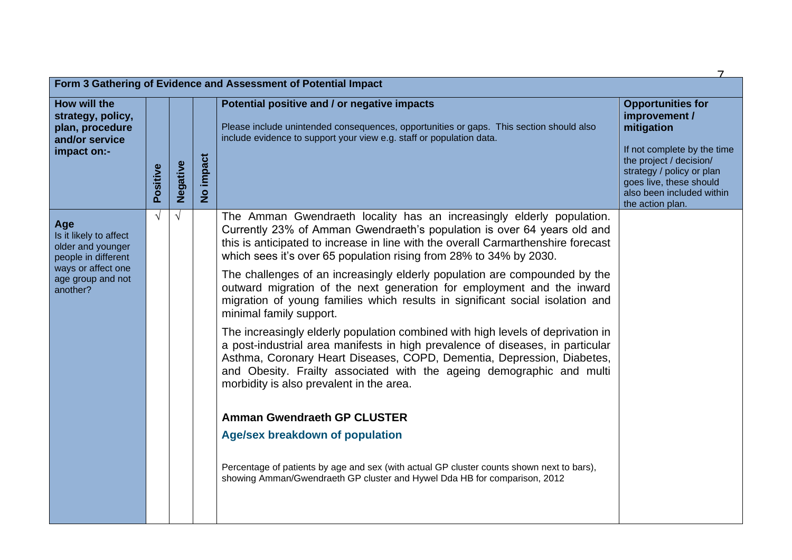|                                                                                                                                  |            |            |                         | Form 3 Gathering of Evidence and Assessment of Potential Impact                                                                                                                                                                                                                                                                                                                                                                                                                                                                                                                                                                                                                                                                                                                                                                                                                                                                                                                                                                                                                                                                                                                                               |                                                                                                                                                                                                                            |  |  |
|----------------------------------------------------------------------------------------------------------------------------------|------------|------------|-------------------------|---------------------------------------------------------------------------------------------------------------------------------------------------------------------------------------------------------------------------------------------------------------------------------------------------------------------------------------------------------------------------------------------------------------------------------------------------------------------------------------------------------------------------------------------------------------------------------------------------------------------------------------------------------------------------------------------------------------------------------------------------------------------------------------------------------------------------------------------------------------------------------------------------------------------------------------------------------------------------------------------------------------------------------------------------------------------------------------------------------------------------------------------------------------------------------------------------------------|----------------------------------------------------------------------------------------------------------------------------------------------------------------------------------------------------------------------------|--|--|
| How will the<br>strategy, policy,<br>plan, procedure<br>and/or service<br>impact on:-                                            | Positive   | Negative   | impact<br>$\frac{6}{5}$ | Potential positive and / or negative impacts<br>Please include unintended consequences, opportunities or gaps. This section should also<br>include evidence to support your view e.g. staff or population data.                                                                                                                                                                                                                                                                                                                                                                                                                                                                                                                                                                                                                                                                                                                                                                                                                                                                                                                                                                                               | <b>Opportunities for</b><br>improvement /<br>mitigation<br>If not complete by the time<br>the project / decision/<br>strategy / policy or plan<br>goes live, these should<br>also been included within<br>the action plan. |  |  |
| Age<br>Is it likely to affect<br>older and younger<br>people in different<br>ways or affect one<br>age group and not<br>another? | $\sqrt{ }$ | $\sqrt{ }$ |                         | The Amman Gwendraeth locality has an increasingly elderly population.<br>Currently 23% of Amman Gwendraeth's population is over 64 years old and<br>this is anticipated to increase in line with the overall Carmarthenshire forecast<br>which sees it's over 65 population rising from 28% to 34% by 2030.<br>The challenges of an increasingly elderly population are compounded by the<br>outward migration of the next generation for employment and the inward<br>migration of young families which results in significant social isolation and<br>minimal family support.<br>The increasingly elderly population combined with high levels of deprivation in<br>a post-industrial area manifests in high prevalence of diseases, in particular<br>Asthma, Coronary Heart Diseases, COPD, Dementia, Depression, Diabetes,<br>and Obesity. Frailty associated with the ageing demographic and multi<br>morbidity is also prevalent in the area.<br><b>Amman Gwendraeth GP CLUSTER</b><br><b>Age/sex breakdown of population</b><br>Percentage of patients by age and sex (with actual GP cluster counts shown next to bars),<br>showing Amman/Gwendraeth GP cluster and Hywel Dda HB for comparison, 2012 |                                                                                                                                                                                                                            |  |  |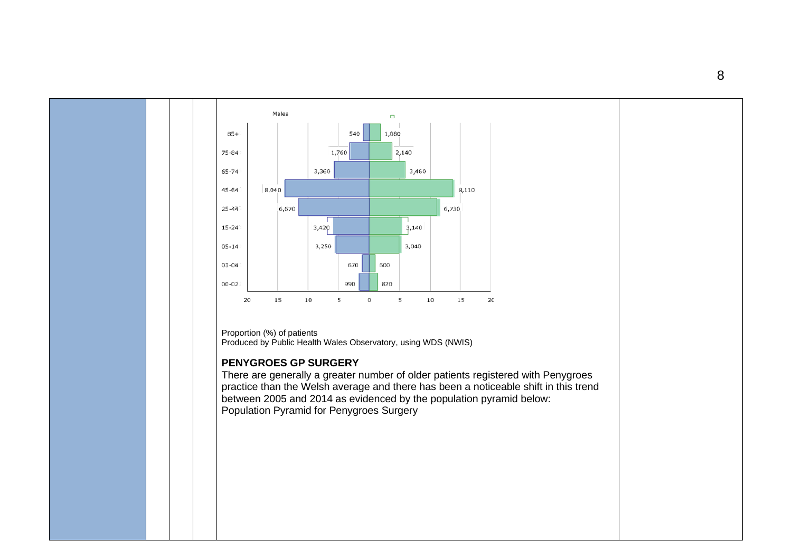

Proportion (%) of patients Produced by Public Health Wales Observatory, using WDS (NWIS)

#### **PENYGROES GP SURGERY**

There are generally a greater number of older patients registered with Penygroes practice than the Welsh average and there has been a noticeable shift in this trend between 2005 and 2014 as evidenced by the population pyramid below: Population Pyramid for Penygroes Surgery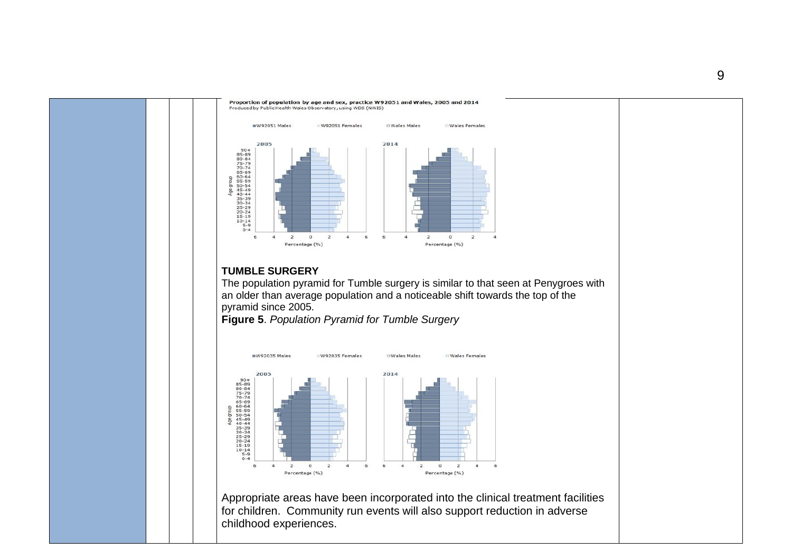

Proportion of population by age and sex, practice W92051 and Wales, 2005 and 2014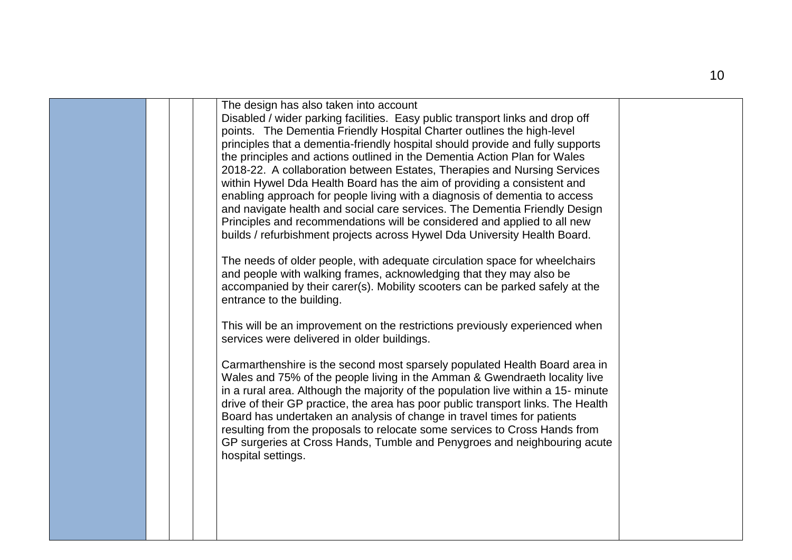|  | The design has also taken into account<br>Disabled / wider parking facilities. Easy public transport links and drop off<br>points. The Dementia Friendly Hospital Charter outlines the high-level<br>principles that a dementia-friendly hospital should provide and fully supports<br>the principles and actions outlined in the Dementia Action Plan for Wales<br>2018-22. A collaboration between Estates, Therapies and Nursing Services<br>within Hywel Dda Health Board has the aim of providing a consistent and<br>enabling approach for people living with a diagnosis of dementia to access<br>and navigate health and social care services. The Dementia Friendly Design<br>Principles and recommendations will be considered and applied to all new<br>builds / refurbishment projects across Hywel Dda University Health Board.<br>The needs of older people, with adequate circulation space for wheelchairs<br>and people with walking frames, acknowledging that they may also be<br>accompanied by their carer(s). Mobility scooters can be parked safely at the<br>entrance to the building.<br>This will be an improvement on the restrictions previously experienced when<br>services were delivered in older buildings.<br>Carmarthenshire is the second most sparsely populated Health Board area in<br>Wales and 75% of the people living in the Amman & Gwendraeth locality live<br>in a rural area. Although the majority of the population live within a 15- minute<br>drive of their GP practice, the area has poor public transport links. The Health<br>Board has undertaken an analysis of change in travel times for patients<br>resulting from the proposals to relocate some services to Cross Hands from<br>GP surgeries at Cross Hands, Tumble and Penygroes and neighbouring acute<br>hospital settings. |  |
|--|----------------------------------------------------------------------------------------------------------------------------------------------------------------------------------------------------------------------------------------------------------------------------------------------------------------------------------------------------------------------------------------------------------------------------------------------------------------------------------------------------------------------------------------------------------------------------------------------------------------------------------------------------------------------------------------------------------------------------------------------------------------------------------------------------------------------------------------------------------------------------------------------------------------------------------------------------------------------------------------------------------------------------------------------------------------------------------------------------------------------------------------------------------------------------------------------------------------------------------------------------------------------------------------------------------------------------------------------------------------------------------------------------------------------------------------------------------------------------------------------------------------------------------------------------------------------------------------------------------------------------------------------------------------------------------------------------------------------------------------------------------------------------------------------------------------------------------------------|--|
|  |                                                                                                                                                                                                                                                                                                                                                                                                                                                                                                                                                                                                                                                                                                                                                                                                                                                                                                                                                                                                                                                                                                                                                                                                                                                                                                                                                                                                                                                                                                                                                                                                                                                                                                                                                                                                                                              |  |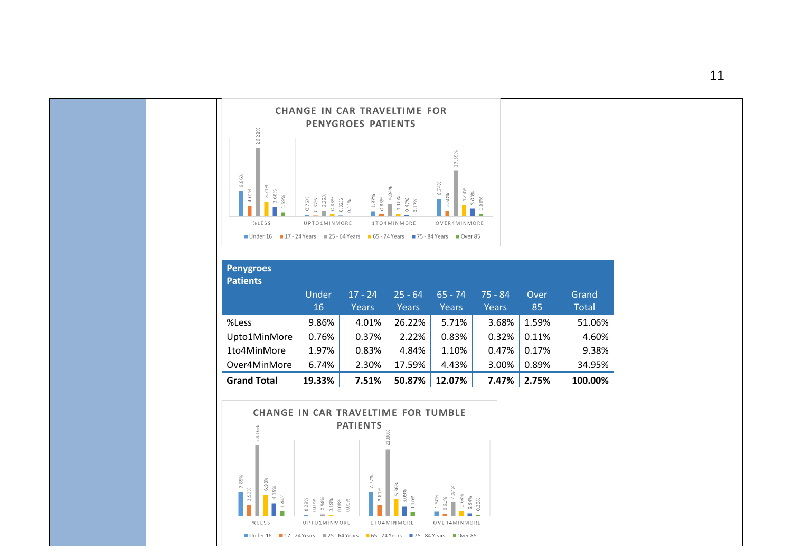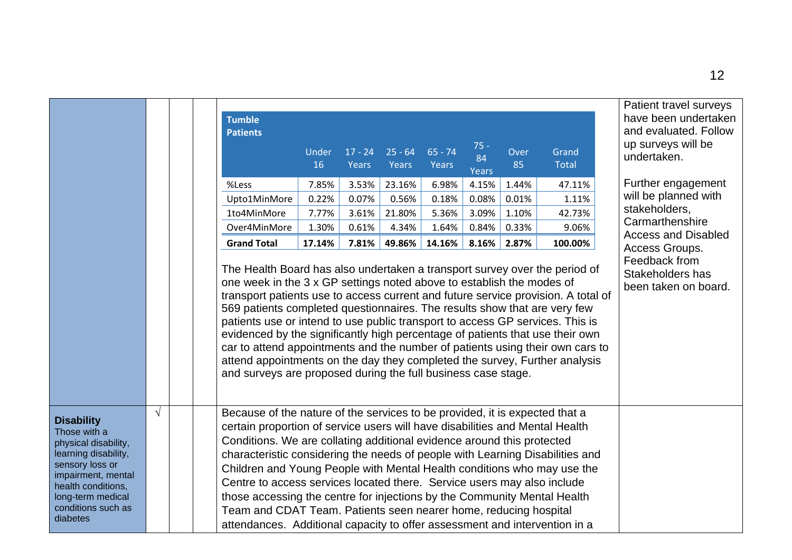|                                                                                                                                                                                                         |            | <b>Tumble</b><br><b>Patients</b>                                                                                                                                                                                                                                                                                                                                                                                                                                                                                                                                                                                                                                                                                                                                                                       |             |                    |                    |                    | $75 -$      |            |                       | Patient travel surveys<br>have been undertaken<br>and evaluated. Follow<br>up surveys will be |
|---------------------------------------------------------------------------------------------------------------------------------------------------------------------------------------------------------|------------|--------------------------------------------------------------------------------------------------------------------------------------------------------------------------------------------------------------------------------------------------------------------------------------------------------------------------------------------------------------------------------------------------------------------------------------------------------------------------------------------------------------------------------------------------------------------------------------------------------------------------------------------------------------------------------------------------------------------------------------------------------------------------------------------------------|-------------|--------------------|--------------------|--------------------|-------------|------------|-----------------------|-----------------------------------------------------------------------------------------------|
|                                                                                                                                                                                                         |            |                                                                                                                                                                                                                                                                                                                                                                                                                                                                                                                                                                                                                                                                                                                                                                                                        | Under<br>16 | $17 - 24$<br>Years | $25 - 64$<br>Years | $65 - 74$<br>Years | 84<br>Years | Over<br>85 | Grand<br><b>Total</b> | undertaken.                                                                                   |
|                                                                                                                                                                                                         |            | %Less                                                                                                                                                                                                                                                                                                                                                                                                                                                                                                                                                                                                                                                                                                                                                                                                  | 7.85%       | 3.53%              | 23.16%             | 6.98%              | 4.15%       | 1.44%      | 47.11%                | Further engagement                                                                            |
|                                                                                                                                                                                                         |            | Upto1MinMore                                                                                                                                                                                                                                                                                                                                                                                                                                                                                                                                                                                                                                                                                                                                                                                           | 0.22%       | 0.07%              | 0.56%              | 0.18%              | 0.08%       | 0.01%      | 1.11%                 | will be planned with                                                                          |
|                                                                                                                                                                                                         |            | 1to4MinMore                                                                                                                                                                                                                                                                                                                                                                                                                                                                                                                                                                                                                                                                                                                                                                                            | 7.77%       | 3.61%              | 21.80%             | 5.36%              | 3.09%       | 1.10%      | 42.73%                | stakeholders,                                                                                 |
|                                                                                                                                                                                                         |            | Over4MinMore                                                                                                                                                                                                                                                                                                                                                                                                                                                                                                                                                                                                                                                                                                                                                                                           | 1.30%       | 0.61%              | 4.34%              | 1.64%              | 0.84%       | 0.33%      | 9.06%                 | Carmarthenshire<br><b>Access and Disabled</b>                                                 |
|                                                                                                                                                                                                         |            | <b>Grand Total</b>                                                                                                                                                                                                                                                                                                                                                                                                                                                                                                                                                                                                                                                                                                                                                                                     | 17.14%      | 7.81%              | 49.86%             | 14.16%             | 8.16%       | 2.87%      | 100.00%               | Access Groups.                                                                                |
|                                                                                                                                                                                                         | $\sqrt{ }$ | The Health Board has also undertaken a transport survey over the period of<br>one week in the 3 x GP settings noted above to establish the modes of<br>transport patients use to access current and future service provision. A total of<br>569 patients completed questionnaires. The results show that are very few<br>patients use or intend to use public transport to access GP services. This is<br>evidenced by the significantly high percentage of patients that use their own<br>car to attend appointments and the number of patients using their own cars to<br>attend appointments on the day they completed the survey, Further analysis<br>and surveys are proposed during the full business case stage.<br>Because of the nature of the services to be provided, it is expected that a |             |                    |                    |                    |             |            |                       | Stakeholders has<br>been taken on board.                                                      |
| <b>Disability</b><br>Those with a<br>physical disability,<br>learning disability,<br>sensory loss or<br>impairment, mental<br>health conditions,<br>long-term medical<br>conditions such as<br>diabetes |            | certain proportion of service users will have disabilities and Mental Health<br>Conditions. We are collating additional evidence around this protected<br>characteristic considering the needs of people with Learning Disabilities and<br>Children and Young People with Mental Health conditions who may use the<br>Centre to access services located there. Service users may also include<br>those accessing the centre for injections by the Community Mental Health<br>Team and CDAT Team. Patients seen nearer home, reducing hospital<br>attendances. Additional capacity to offer assessment and intervention in a                                                                                                                                                                            |             |                    |                    |                    |             |            |                       |                                                                                               |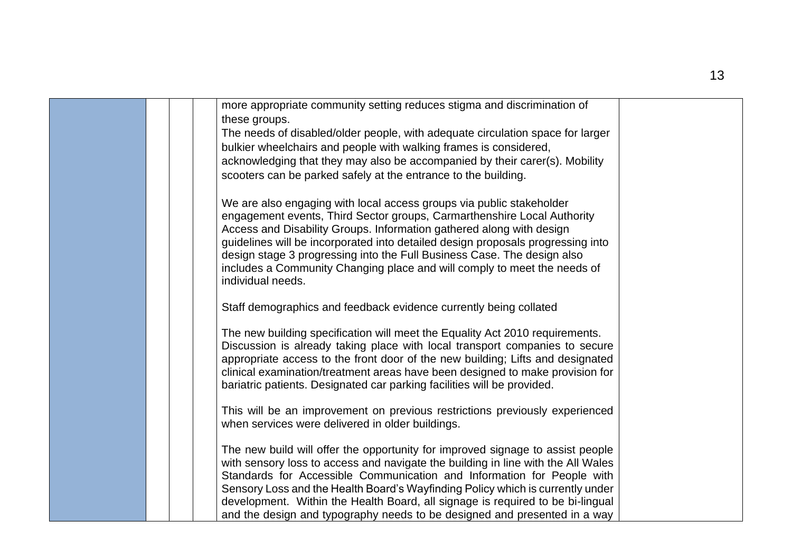| more appropriate community setting reduces stigma and discrimination of<br>these groups.                                                                                                                                                                                                                                                                                              |  |
|---------------------------------------------------------------------------------------------------------------------------------------------------------------------------------------------------------------------------------------------------------------------------------------------------------------------------------------------------------------------------------------|--|
| The needs of disabled/older people, with adequate circulation space for larger                                                                                                                                                                                                                                                                                                        |  |
| bulkier wheelchairs and people with walking frames is considered,                                                                                                                                                                                                                                                                                                                     |  |
| acknowledging that they may also be accompanied by their carer(s). Mobility                                                                                                                                                                                                                                                                                                           |  |
| scooters can be parked safely at the entrance to the building.                                                                                                                                                                                                                                                                                                                        |  |
| We are also engaging with local access groups via public stakeholder<br>engagement events, Third Sector groups, Carmarthenshire Local Authority<br>Access and Disability Groups. Information gathered along with design<br>guidelines will be incorporated into detailed design proposals progressing into<br>design stage 3 progressing into the Full Business Case. The design also |  |
| includes a Community Changing place and will comply to meet the needs of<br>individual needs.                                                                                                                                                                                                                                                                                         |  |
| Staff demographics and feedback evidence currently being collated                                                                                                                                                                                                                                                                                                                     |  |
| The new building specification will meet the Equality Act 2010 requirements.                                                                                                                                                                                                                                                                                                          |  |
| Discussion is already taking place with local transport companies to secure<br>appropriate access to the front door of the new building; Lifts and designated                                                                                                                                                                                                                         |  |
| clinical examination/treatment areas have been designed to make provision for                                                                                                                                                                                                                                                                                                         |  |
| bariatric patients. Designated car parking facilities will be provided.                                                                                                                                                                                                                                                                                                               |  |
| This will be an improvement on previous restrictions previously experienced                                                                                                                                                                                                                                                                                                           |  |
| when services were delivered in older buildings.                                                                                                                                                                                                                                                                                                                                      |  |
|                                                                                                                                                                                                                                                                                                                                                                                       |  |
| The new build will offer the opportunity for improved signage to assist people                                                                                                                                                                                                                                                                                                        |  |
| with sensory loss to access and navigate the building in line with the All Wales                                                                                                                                                                                                                                                                                                      |  |
| Standards for Accessible Communication and Information for People with                                                                                                                                                                                                                                                                                                                |  |
| Sensory Loss and the Health Board's Wayfinding Policy which is currently under<br>development. Within the Health Board, all signage is required to be bi-lingual                                                                                                                                                                                                                      |  |
| and the design and typography needs to be designed and presented in a way                                                                                                                                                                                                                                                                                                             |  |

r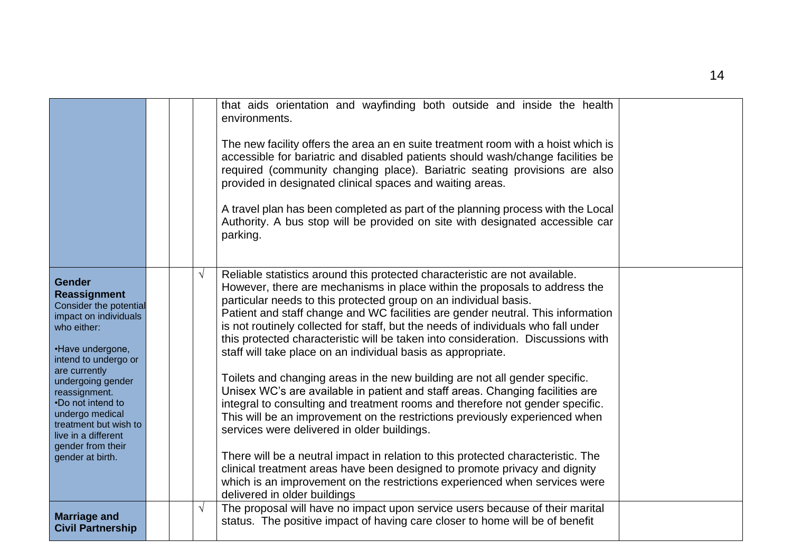|                                                                                                                                                                                                                                                                                                                                            |  |            | that aids orientation and wayfinding both outside and inside the health<br>environments.<br>The new facility offers the area an en suite treatment room with a hoist which is<br>accessible for bariatric and disabled patients should wash/change facilities be<br>required (community changing place). Bariatric seating provisions are also<br>provided in designated clinical spaces and waiting areas.<br>A travel plan has been completed as part of the planning process with the Local<br>Authority. A bus stop will be provided on site with designated accessible car<br>parking.                                                                                                                                                                                                                                                                                                                                                                                                                                                                                                                                                                                                                              |  |
|--------------------------------------------------------------------------------------------------------------------------------------------------------------------------------------------------------------------------------------------------------------------------------------------------------------------------------------------|--|------------|--------------------------------------------------------------------------------------------------------------------------------------------------------------------------------------------------------------------------------------------------------------------------------------------------------------------------------------------------------------------------------------------------------------------------------------------------------------------------------------------------------------------------------------------------------------------------------------------------------------------------------------------------------------------------------------------------------------------------------------------------------------------------------------------------------------------------------------------------------------------------------------------------------------------------------------------------------------------------------------------------------------------------------------------------------------------------------------------------------------------------------------------------------------------------------------------------------------------------|--|
| <b>Gender</b><br><b>Reassignment</b><br>Consider the potential<br>impact on individuals<br>who either:<br>•Have undergone,<br>intend to undergo or<br>are currently<br>undergoing gender<br>reassignment.<br>•Do not intend to<br>undergo medical<br>treatment but wish to<br>live in a different<br>gender from their<br>gender at birth. |  | $\sqrt{}$  | Reliable statistics around this protected characteristic are not available.<br>However, there are mechanisms in place within the proposals to address the<br>particular needs to this protected group on an individual basis.<br>Patient and staff change and WC facilities are gender neutral. This information<br>is not routinely collected for staff, but the needs of individuals who fall under<br>this protected characteristic will be taken into consideration. Discussions with<br>staff will take place on an individual basis as appropriate.<br>Toilets and changing areas in the new building are not all gender specific.<br>Unisex WC's are available in patient and staff areas. Changing facilities are<br>integral to consulting and treatment rooms and therefore not gender specific.<br>This will be an improvement on the restrictions previously experienced when<br>services were delivered in older buildings.<br>There will be a neutral impact in relation to this protected characteristic. The<br>clinical treatment areas have been designed to promote privacy and dignity<br>which is an improvement on the restrictions experienced when services were<br>delivered in older buildings |  |
| <b>Marriage and</b><br><b>Civil Partnership</b>                                                                                                                                                                                                                                                                                            |  | $\sqrt{ }$ | The proposal will have no impact upon service users because of their marital<br>status. The positive impact of having care closer to home will be of benefit                                                                                                                                                                                                                                                                                                                                                                                                                                                                                                                                                                                                                                                                                                                                                                                                                                                                                                                                                                                                                                                             |  |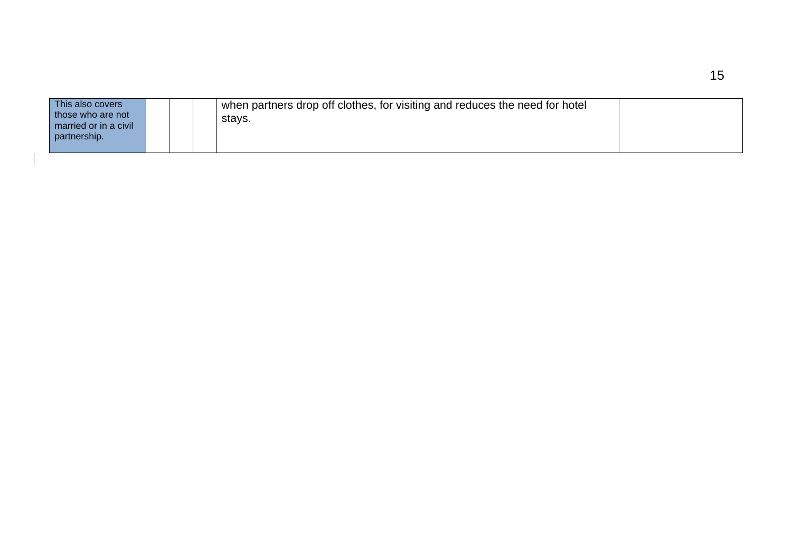| This also covers<br>those who are not<br>married or in a civil<br>partnership. |  |  |  | when partners drop off clothes, for visiting and reduces the need for hotel<br>stavs. |  |
|--------------------------------------------------------------------------------|--|--|--|---------------------------------------------------------------------------------------|--|
|--------------------------------------------------------------------------------|--|--|--|---------------------------------------------------------------------------------------|--|

 $\overline{\phantom{a}}$ 

15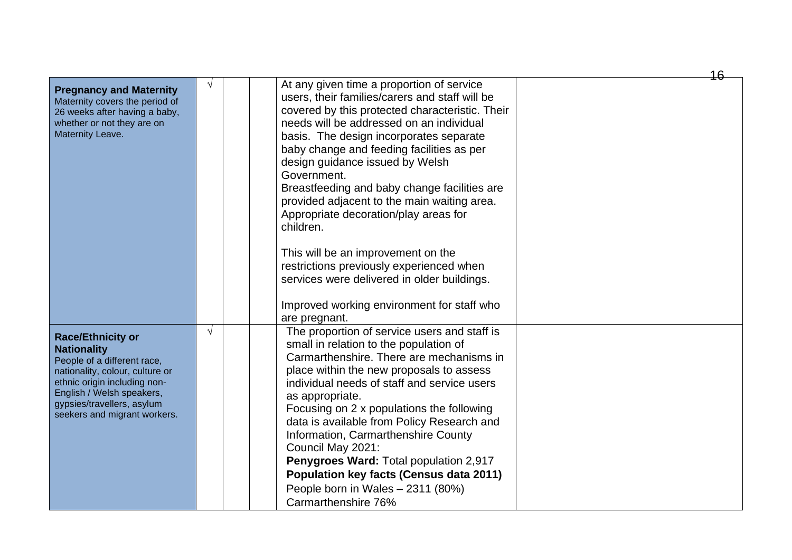|                                                                                                                                                                                                                                             |            |                                                                                                                                                                                                                                                                                                                                                                                                                                                                                                                                                                                                                            | 16 |
|---------------------------------------------------------------------------------------------------------------------------------------------------------------------------------------------------------------------------------------------|------------|----------------------------------------------------------------------------------------------------------------------------------------------------------------------------------------------------------------------------------------------------------------------------------------------------------------------------------------------------------------------------------------------------------------------------------------------------------------------------------------------------------------------------------------------------------------------------------------------------------------------------|----|
| <b>Pregnancy and Maternity</b><br>Maternity covers the period of<br>26 weeks after having a baby,<br>whether or not they are on<br>Maternity Leave.                                                                                         | V          | At any given time a proportion of service<br>users, their families/carers and staff will be<br>covered by this protected characteristic. Their<br>needs will be addressed on an individual<br>basis. The design incorporates separate<br>baby change and feeding facilities as per<br>design guidance issued by Welsh<br>Government.<br>Breastfeeding and baby change facilities are<br>provided adjacent to the main waiting area.<br>Appropriate decoration/play areas for<br>children.<br>This will be an improvement on the<br>restrictions previously experienced when<br>services were delivered in older buildings. |    |
|                                                                                                                                                                                                                                             |            | Improved working environment for staff who                                                                                                                                                                                                                                                                                                                                                                                                                                                                                                                                                                                 |    |
|                                                                                                                                                                                                                                             |            | are pregnant.                                                                                                                                                                                                                                                                                                                                                                                                                                                                                                                                                                                                              |    |
| <b>Race/Ethnicity or</b><br><b>Nationality</b><br>People of a different race,<br>nationality, colour, culture or<br>ethnic origin including non-<br>English / Welsh speakers,<br>gypsies/travellers, asylum<br>seekers and migrant workers. | $\sqrt{ }$ | The proportion of service users and staff is<br>small in relation to the population of<br>Carmarthenshire. There are mechanisms in<br>place within the new proposals to assess<br>individual needs of staff and service users<br>as appropriate.<br>Focusing on 2 x populations the following<br>data is available from Policy Research and<br>Information, Carmarthenshire County<br>Council May 2021:<br>Penygroes Ward: Total population 2,917<br><b>Population key facts (Census data 2011)</b><br>People born in Wales - 2311 (80%)<br>Carmarthenshire 76%                                                            |    |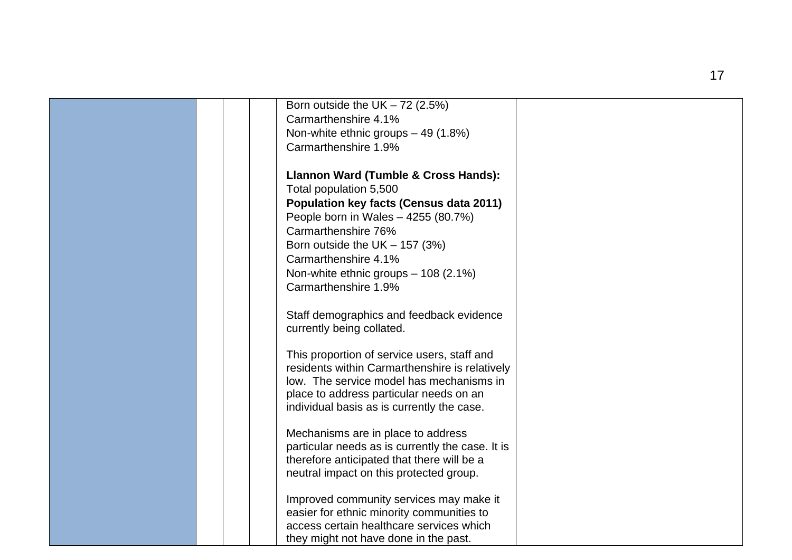| Born outside the UK $-72$ (2.5%)                 |  |
|--------------------------------------------------|--|
| Carmarthenshire 4.1%                             |  |
| Non-white ethnic groups - 49 (1.8%)              |  |
| Carmarthenshire 1.9%                             |  |
|                                                  |  |
| Llannon Ward (Tumble & Cross Hands):             |  |
| Total population 5,500                           |  |
| <b>Population key facts (Census data 2011)</b>   |  |
| People born in Wales - 4255 (80.7%)              |  |
| Carmarthenshire 76%                              |  |
| Born outside the UK $-$ 157 (3%)                 |  |
| Carmarthenshire 4.1%                             |  |
| Non-white ethnic groups - 108 (2.1%)             |  |
| Carmarthenshire 1.9%                             |  |
|                                                  |  |
| Staff demographics and feedback evidence         |  |
| currently being collated.                        |  |
|                                                  |  |
| This proportion of service users, staff and      |  |
| residents within Carmarthenshire is relatively   |  |
| low. The service model has mechanisms in         |  |
| place to address particular needs on an          |  |
| individual basis as is currently the case.       |  |
|                                                  |  |
| Mechanisms are in place to address               |  |
| particular needs as is currently the case. It is |  |
| therefore anticipated that there will be a       |  |
| neutral impact on this protected group.          |  |
| Improved community services may make it          |  |
| easier for ethnic minority communities to        |  |
| access certain healthcare services which         |  |
| they might not have done in the past.            |  |
|                                                  |  |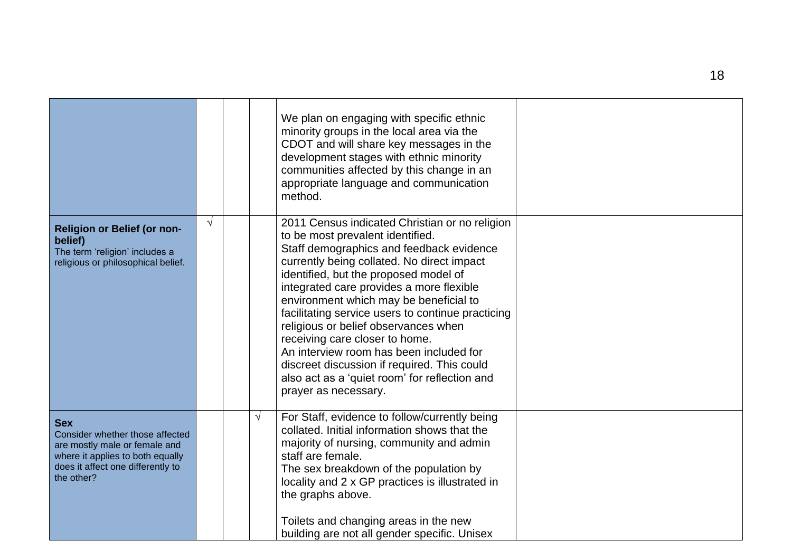|                                                                                                                                                                       |            |            | We plan on engaging with specific ethnic<br>minority groups in the local area via the<br>CDOT and will share key messages in the<br>development stages with ethnic minority<br>communities affected by this change in an<br>appropriate language and communication<br>method.                                                                                                                                                                                                                                                                                                                                 |  |
|-----------------------------------------------------------------------------------------------------------------------------------------------------------------------|------------|------------|---------------------------------------------------------------------------------------------------------------------------------------------------------------------------------------------------------------------------------------------------------------------------------------------------------------------------------------------------------------------------------------------------------------------------------------------------------------------------------------------------------------------------------------------------------------------------------------------------------------|--|
| <b>Religion or Belief (or non-</b><br>belief)<br>The term 'religion' includes a<br>religious or philosophical belief.                                                 | $\sqrt{ }$ |            | 2011 Census indicated Christian or no religion<br>to be most prevalent identified.<br>Staff demographics and feedback evidence<br>currently being collated. No direct impact<br>identified, but the proposed model of<br>integrated care provides a more flexible<br>environment which may be beneficial to<br>facilitating service users to continue practicing<br>religious or belief observances when<br>receiving care closer to home.<br>An interview room has been included for<br>discreet discussion if required. This could<br>also act as a 'quiet room' for reflection and<br>prayer as necessary. |  |
| <b>Sex</b><br>Consider whether those affected<br>are mostly male or female and<br>where it applies to both equally<br>does it affect one differently to<br>the other? |            | $\sqrt{ }$ | For Staff, evidence to follow/currently being<br>collated. Initial information shows that the<br>majority of nursing, community and admin<br>staff are female.<br>The sex breakdown of the population by<br>locality and 2 x GP practices is illustrated in<br>the graphs above.<br>Toilets and changing areas in the new<br>building are not all gender specific. Unisex                                                                                                                                                                                                                                     |  |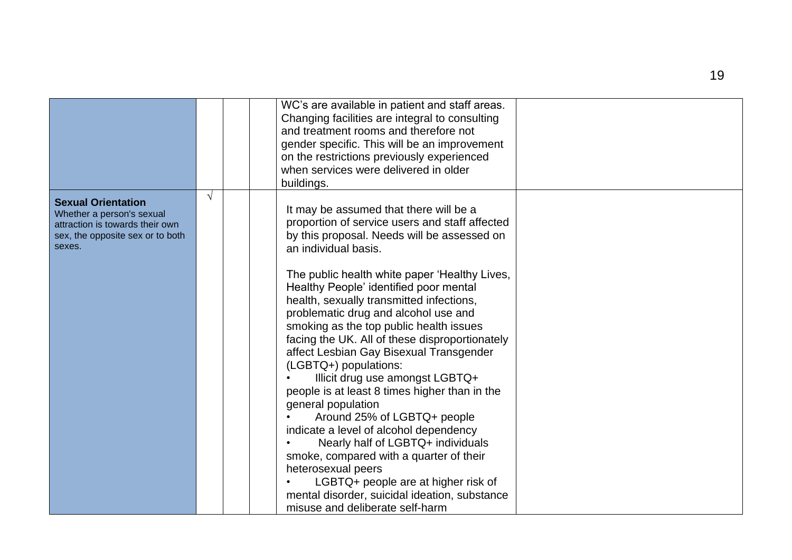|                                                                                                                                         |   | WC's are available in patient and staff areas.<br>Changing facilities are integral to consulting<br>and treatment rooms and therefore not<br>gender specific. This will be an improvement<br>on the restrictions previously experienced<br>when services were delivered in older<br>buildings.                                                                                                                                                                                                                                                                                                                                                                                                                                                                                                                                                                                                                                      |  |
|-----------------------------------------------------------------------------------------------------------------------------------------|---|-------------------------------------------------------------------------------------------------------------------------------------------------------------------------------------------------------------------------------------------------------------------------------------------------------------------------------------------------------------------------------------------------------------------------------------------------------------------------------------------------------------------------------------------------------------------------------------------------------------------------------------------------------------------------------------------------------------------------------------------------------------------------------------------------------------------------------------------------------------------------------------------------------------------------------------|--|
| <b>Sexual Orientation</b><br>Whether a person's sexual<br>attraction is towards their own<br>sex, the opposite sex or to both<br>sexes. | V | It may be assumed that there will be a<br>proportion of service users and staff affected<br>by this proposal. Needs will be assessed on<br>an individual basis.<br>The public health white paper 'Healthy Lives,<br>Healthy People' identified poor mental<br>health, sexually transmitted infections,<br>problematic drug and alcohol use and<br>smoking as the top public health issues<br>facing the UK. All of these disproportionately<br>affect Lesbian Gay Bisexual Transgender<br>(LGBTQ+) populations:<br>Illicit drug use amongst LGBTQ+<br>people is at least 8 times higher than in the<br>general population<br>Around 25% of LGBTQ+ people<br>indicate a level of alcohol dependency<br>Nearly half of LGBTQ+ individuals<br>smoke, compared with a quarter of their<br>heterosexual peers<br>LGBTQ+ people are at higher risk of<br>mental disorder, suicidal ideation, substance<br>misuse and deliberate self-harm |  |
|                                                                                                                                         |   |                                                                                                                                                                                                                                                                                                                                                                                                                                                                                                                                                                                                                                                                                                                                                                                                                                                                                                                                     |  |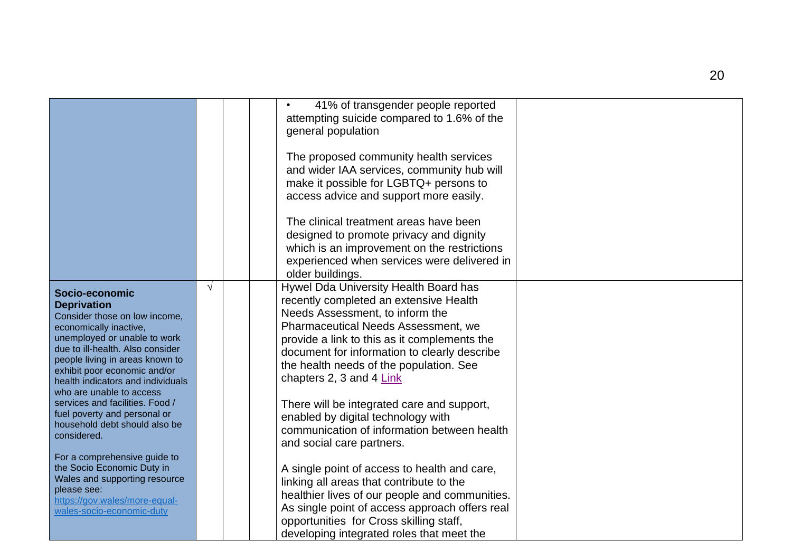|                                                                                                                                                                                                                                                                                                                                                                                                                            |            | 41% of transgender people reported<br>attempting suicide compared to 1.6% of the<br>general population                                                                                                                                                                                                                                                                                                                                                                                                  |  |
|----------------------------------------------------------------------------------------------------------------------------------------------------------------------------------------------------------------------------------------------------------------------------------------------------------------------------------------------------------------------------------------------------------------------------|------------|---------------------------------------------------------------------------------------------------------------------------------------------------------------------------------------------------------------------------------------------------------------------------------------------------------------------------------------------------------------------------------------------------------------------------------------------------------------------------------------------------------|--|
|                                                                                                                                                                                                                                                                                                                                                                                                                            |            | The proposed community health services<br>and wider IAA services, community hub will<br>make it possible for LGBTQ+ persons to<br>access advice and support more easily.                                                                                                                                                                                                                                                                                                                                |  |
|                                                                                                                                                                                                                                                                                                                                                                                                                            |            | The clinical treatment areas have been<br>designed to promote privacy and dignity<br>which is an improvement on the restrictions<br>experienced when services were delivered in<br>older buildings.                                                                                                                                                                                                                                                                                                     |  |
| Socio-economic<br><b>Deprivation</b><br>Consider those on low income,<br>economically inactive,<br>unemployed or unable to work<br>due to ill-health. Also consider<br>people living in areas known to<br>exhibit poor economic and/or<br>health indicators and individuals<br>who are unable to access<br>services and facilities. Food /<br>fuel poverty and personal or<br>household debt should also be<br>considered. | $\sqrt{ }$ | Hywel Dda University Health Board has<br>recently completed an extensive Health<br>Needs Assessment, to inform the<br><b>Pharmaceutical Needs Assessment, we</b><br>provide a link to this as it complements the<br>document for information to clearly describe<br>the health needs of the population. See<br>chapters 2, 3 and 4 Link<br>There will be integrated care and support,<br>enabled by digital technology with<br>communication of information between health<br>and social care partners. |  |
| For a comprehensive guide to<br>the Socio Economic Duty in<br>Wales and supporting resource<br>please see:<br>https://gov.wales/more-equal-<br>wales-socio-economic-duty                                                                                                                                                                                                                                                   |            | A single point of access to health and care,<br>linking all areas that contribute to the<br>healthier lives of our people and communities.<br>As single point of access approach offers real<br>opportunities for Cross skilling staff,<br>developing integrated roles that meet the                                                                                                                                                                                                                    |  |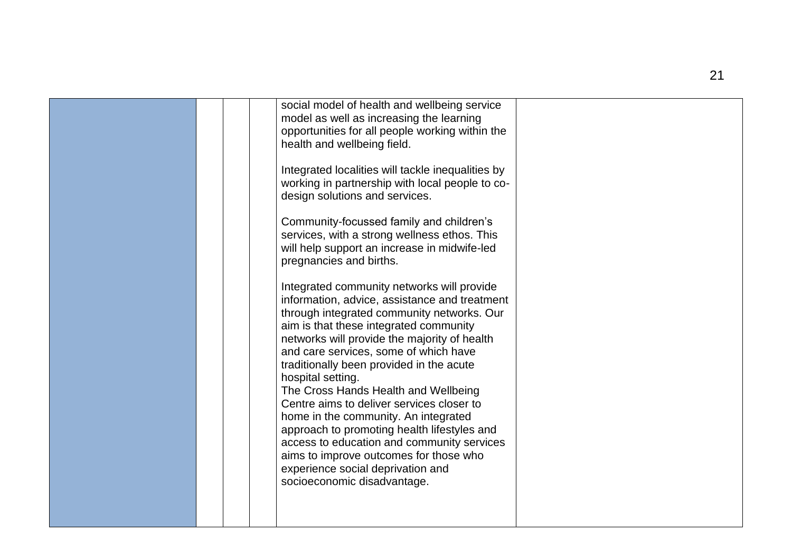|  | social model of health and wellbeing service<br>model as well as increasing the learning<br>opportunities for all people working within the<br>health and wellbeing field.<br>Integrated localities will tackle inequalities by<br>working in partnership with local people to co-<br>design solutions and services.<br>Community-focussed family and children's<br>services, with a strong wellness ethos. This<br>will help support an increase in midwife-led<br>pregnancies and births.<br>Integrated community networks will provide<br>information, advice, assistance and treatment<br>through integrated community networks. Our<br>aim is that these integrated community<br>networks will provide the majority of health<br>and care services, some of which have<br>traditionally been provided in the acute<br>hospital setting.<br>The Cross Hands Health and Wellbeing<br>Centre aims to deliver services closer to<br>home in the community. An integrated<br>approach to promoting health lifestyles and<br>access to education and community services<br>aims to improve outcomes for those who<br>experience social deprivation and<br>socioeconomic disadvantage. |  |
|--|--------------------------------------------------------------------------------------------------------------------------------------------------------------------------------------------------------------------------------------------------------------------------------------------------------------------------------------------------------------------------------------------------------------------------------------------------------------------------------------------------------------------------------------------------------------------------------------------------------------------------------------------------------------------------------------------------------------------------------------------------------------------------------------------------------------------------------------------------------------------------------------------------------------------------------------------------------------------------------------------------------------------------------------------------------------------------------------------------------------------------------------------------------------------------------------|--|
|  |                                                                                                                                                                                                                                                                                                                                                                                                                                                                                                                                                                                                                                                                                                                                                                                                                                                                                                                                                                                                                                                                                                                                                                                      |  |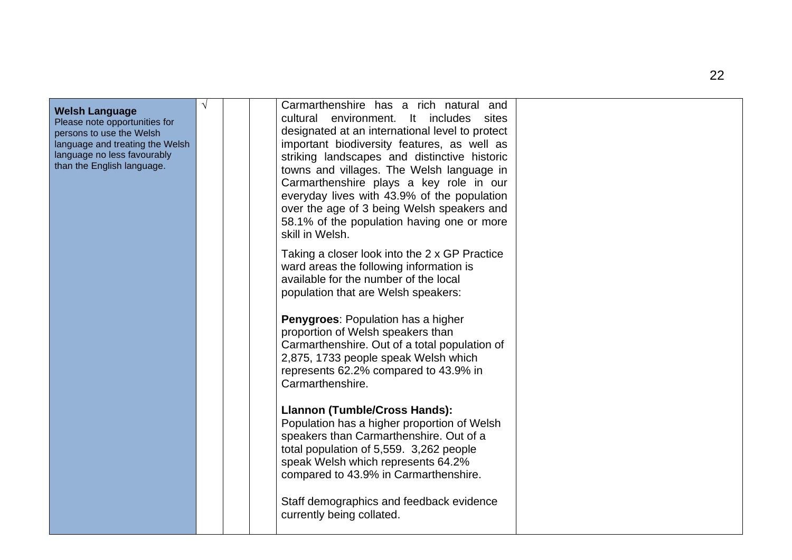| <b>Welsh Language</b><br>Please note opportunities for<br>persons to use the Welsh<br>language and treating the Welsh<br>language no less favourably<br>than the English language. | V | Carmarthenshire has a rich natural and<br>cultural<br>environment.<br>It includes sites<br>designated at an international level to protect<br>important biodiversity features, as well as<br>striking landscapes and distinctive historic<br>towns and villages. The Welsh language in<br>Carmarthenshire plays a key role in our<br>everyday lives with 43.9% of the population<br>over the age of 3 being Welsh speakers and<br>58.1% of the population having one or more<br>skill in Welsh.<br>Taking a closer look into the 2 x GP Practice<br>ward areas the following information is<br>available for the number of the local<br>population that are Welsh speakers:<br><b>Penygroes: Population has a higher</b><br>proportion of Welsh speakers than<br>Carmarthenshire. Out of a total population of<br>2,875, 1733 people speak Welsh which<br>represents 62.2% compared to 43.9% in<br>Carmarthenshire.<br>Llannon (Tumble/Cross Hands):<br>Population has a higher proportion of Welsh<br>speakers than Carmarthenshire. Out of a<br>total population of 5,559. 3,262 people<br>speak Welsh which represents 64.2%<br>compared to 43.9% in Carmarthenshire.<br>Staff demographics and feedback evidence<br>currently being collated. |  |
|------------------------------------------------------------------------------------------------------------------------------------------------------------------------------------|---|---------------------------------------------------------------------------------------------------------------------------------------------------------------------------------------------------------------------------------------------------------------------------------------------------------------------------------------------------------------------------------------------------------------------------------------------------------------------------------------------------------------------------------------------------------------------------------------------------------------------------------------------------------------------------------------------------------------------------------------------------------------------------------------------------------------------------------------------------------------------------------------------------------------------------------------------------------------------------------------------------------------------------------------------------------------------------------------------------------------------------------------------------------------------------------------------------------------------------------------------------|--|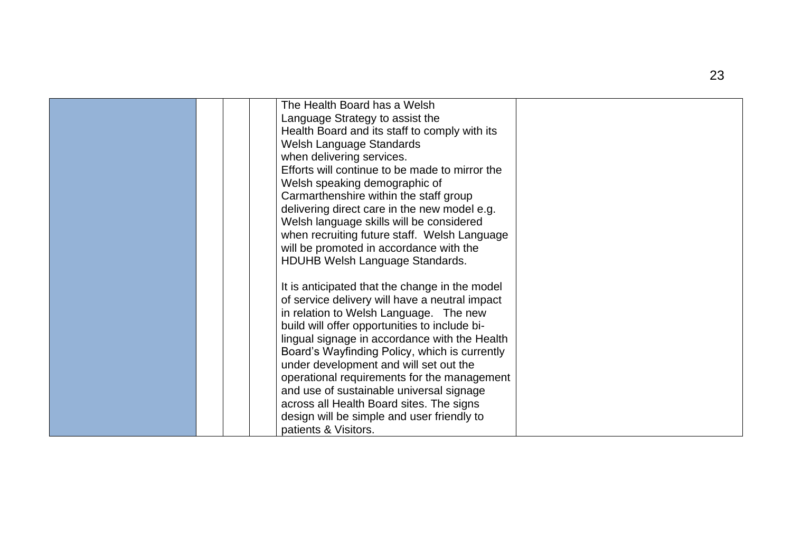| The Health Board has a Welsh<br>Language Strategy to assist the<br>Health Board and its staff to comply with its<br>Welsh Language Standards<br>when delivering services.                   |  |
|---------------------------------------------------------------------------------------------------------------------------------------------------------------------------------------------|--|
| Efforts will continue to be made to mirror the                                                                                                                                              |  |
| Welsh speaking demographic of<br>Carmarthenshire within the staff group                                                                                                                     |  |
| delivering direct care in the new model e.g.<br>Welsh language skills will be considered<br>when recruiting future staff. Welsh Language<br>will be promoted in accordance with the         |  |
| HDUHB Welsh Language Standards.                                                                                                                                                             |  |
| It is anticipated that the change in the model<br>of service delivery will have a neutral impact<br>in relation to Welsh Language. The new<br>build will offer opportunities to include bi- |  |
| lingual signage in accordance with the Health<br>Board's Wayfinding Policy, which is currently                                                                                              |  |
| under development and will set out the<br>operational requirements for the management                                                                                                       |  |
| and use of sustainable universal signage<br>across all Health Board sites. The signs                                                                                                        |  |
| design will be simple and user friendly to<br>patients & Visitors.                                                                                                                          |  |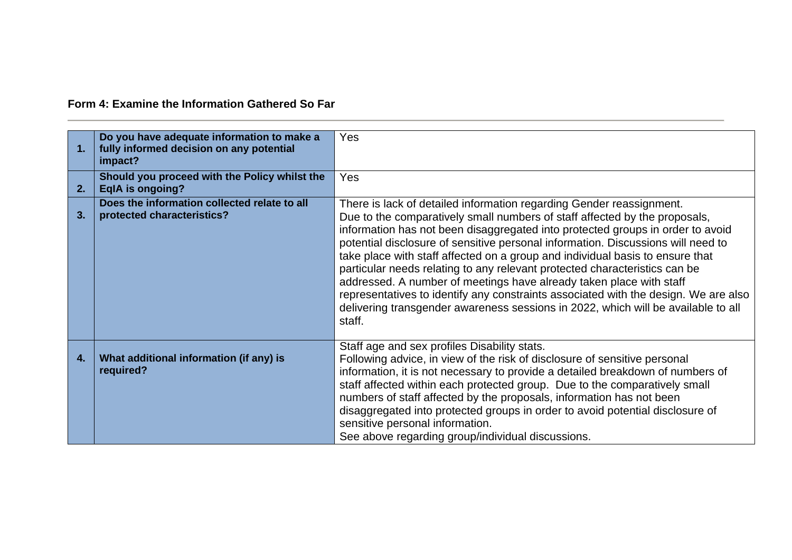**Form 4: Examine the Information Gathered So Far**

| 1. | Do you have adequate information to make a<br>fully informed decision on any potential<br>impact? | <b>Yes</b>                                                                                                                                                                                                                                                                                                                                                                                                                                                                                                                                                                                                                                                                                                                                           |
|----|---------------------------------------------------------------------------------------------------|------------------------------------------------------------------------------------------------------------------------------------------------------------------------------------------------------------------------------------------------------------------------------------------------------------------------------------------------------------------------------------------------------------------------------------------------------------------------------------------------------------------------------------------------------------------------------------------------------------------------------------------------------------------------------------------------------------------------------------------------------|
| 2. | Should you proceed with the Policy whilst the<br><b>EqlA</b> is ongoing?                          | <b>Yes</b>                                                                                                                                                                                                                                                                                                                                                                                                                                                                                                                                                                                                                                                                                                                                           |
| 3. | Does the information collected relate to all<br>protected characteristics?                        | There is lack of detailed information regarding Gender reassignment.<br>Due to the comparatively small numbers of staff affected by the proposals,<br>information has not been disaggregated into protected groups in order to avoid<br>potential disclosure of sensitive personal information. Discussions will need to<br>take place with staff affected on a group and individual basis to ensure that<br>particular needs relating to any relevant protected characteristics can be<br>addressed. A number of meetings have already taken place with staff<br>representatives to identify any constraints associated with the design. We are also<br>delivering transgender awareness sessions in 2022, which will be available to all<br>staff. |
| 4. | What additional information (if any) is<br>required?                                              | Staff age and sex profiles Disability stats.<br>Following advice, in view of the risk of disclosure of sensitive personal<br>information, it is not necessary to provide a detailed breakdown of numbers of<br>staff affected within each protected group. Due to the comparatively small<br>numbers of staff affected by the proposals, information has not been<br>disaggregated into protected groups in order to avoid potential disclosure of<br>sensitive personal information.<br>See above regarding group/individual discussions.                                                                                                                                                                                                           |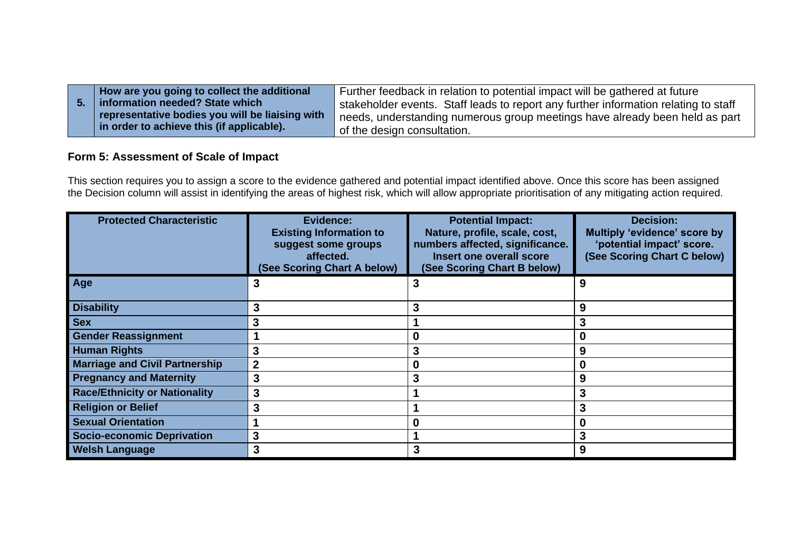| How are you going to collect the additional     | Further feedback in relation to potential impact will be gathered at future         |
|-------------------------------------------------|-------------------------------------------------------------------------------------|
| information needed? State which                 | stakeholder events. Staff leads to report any further information relating to staff |
| representative bodies you will be liaising with | needs, understanding numerous group meetings have already been held as part         |
| In order to achieve this (if applicable).       | of the design consultation.                                                         |

# **Form 5: Assessment of Scale of Impact**

This section requires you to assign a score to the evidence gathered and potential impact identified above. Once this score has been assigned the Decision column will assist in identifying the areas of highest risk, which will allow appropriate prioritisation of any mitigating action required.

| <b>Protected Characteristic</b>       | Evidence:<br><b>Existing Information to</b><br>suggest some groups<br>affected.<br>(See Scoring Chart A below) | <b>Potential Impact:</b><br>Nature, profile, scale, cost,<br>numbers affected, significance.<br>Insert one overall score<br>(See Scoring Chart B below) | <b>Decision:</b><br>Multiply 'evidence' score by<br>'potential impact' score.<br>(See Scoring Chart C below) |
|---------------------------------------|----------------------------------------------------------------------------------------------------------------|---------------------------------------------------------------------------------------------------------------------------------------------------------|--------------------------------------------------------------------------------------------------------------|
| Age                                   | 3                                                                                                              | З                                                                                                                                                       | 9                                                                                                            |
| <b>Disability</b>                     | 3                                                                                                              | 3                                                                                                                                                       | 9                                                                                                            |
| <b>Sex</b>                            | 3                                                                                                              |                                                                                                                                                         | 3                                                                                                            |
| <b>Gender Reassignment</b>            |                                                                                                                | 0                                                                                                                                                       | 0                                                                                                            |
| <b>Human Rights</b>                   | 3                                                                                                              | 3                                                                                                                                                       | 9                                                                                                            |
| <b>Marriage and Civil Partnership</b> | $\overline{2}$                                                                                                 | 0                                                                                                                                                       |                                                                                                              |
| <b>Pregnancy and Maternity</b>        | 3                                                                                                              | 3                                                                                                                                                       | 9                                                                                                            |
| <b>Race/Ethnicity or Nationality</b>  | 3                                                                                                              |                                                                                                                                                         | 3                                                                                                            |
| <b>Religion or Belief</b>             | 3                                                                                                              |                                                                                                                                                         | 3                                                                                                            |
| <b>Sexual Orientation</b>             |                                                                                                                | 0                                                                                                                                                       |                                                                                                              |
| <b>Socio-economic Deprivation</b>     | 3                                                                                                              |                                                                                                                                                         | 3                                                                                                            |
| <b>Welsh Language</b>                 | 3                                                                                                              | 3                                                                                                                                                       | 9                                                                                                            |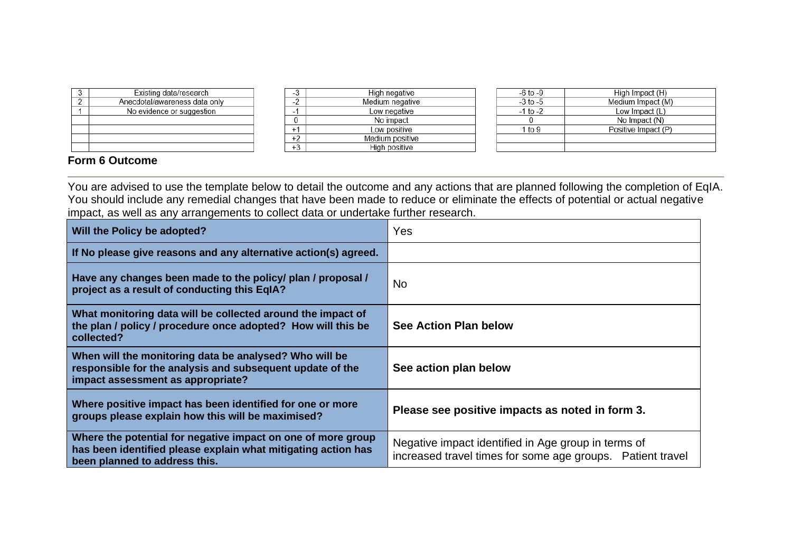| o | Existing data/research        |
|---|-------------------------------|
|   | Anecdotal/awareness data only |
|   | No evidence or suggestion     |
|   |                               |
|   |                               |
|   |                               |
|   |                               |

High negative  $-3$  $\frac{6}{2}$ Medium negative  $-1$ Low negative  $\overline{0}$ No impact  $+1$ Low positive  $+2$ Medium positive  $+3$ High positive

| -6 to -9     | High Impact (H)     |
|--------------|---------------------|
| $-3$ to $-5$ | Medium Impact (M)   |
| $-1$ to $-2$ | Low Impact (L)      |
|              | No Impact (N)       |
| 1 to 9       | Positive Impact (P) |
|              |                     |
|              |                     |

# **Form 6 Outcome**

You are advised to use the template below to detail the outcome and any actions that are planned following the completion of EqIA. You should include any remedial changes that have been made to reduce or eliminate the effects of potential or actual negative impact, as well as any arrangements to collect data or undertake further research.

| Will the Policy be adopted?                                                                                                                                    | Yes                                                                                                               |
|----------------------------------------------------------------------------------------------------------------------------------------------------------------|-------------------------------------------------------------------------------------------------------------------|
| If No please give reasons and any alternative action(s) agreed.                                                                                                |                                                                                                                   |
| Have any changes been made to the policy/ plan / proposal /<br>project as a result of conducting this EqIA?                                                    | No.                                                                                                               |
| What monitoring data will be collected around the impact of<br>the plan / policy / procedure once adopted? How will this be<br>collected?                      | See Action Plan below                                                                                             |
| When will the monitoring data be analysed? Who will be<br>responsible for the analysis and subsequent update of the<br>impact assessment as appropriate?       | See action plan below                                                                                             |
| Where positive impact has been identified for one or more<br>groups please explain how this will be maximised?                                                 | Please see positive impacts as noted in form 3.                                                                   |
| Where the potential for negative impact on one of more group<br>has been identified please explain what mitigating action has<br>been planned to address this. | Negative impact identified in Age group in terms of<br>increased travel times for some age groups. Patient travel |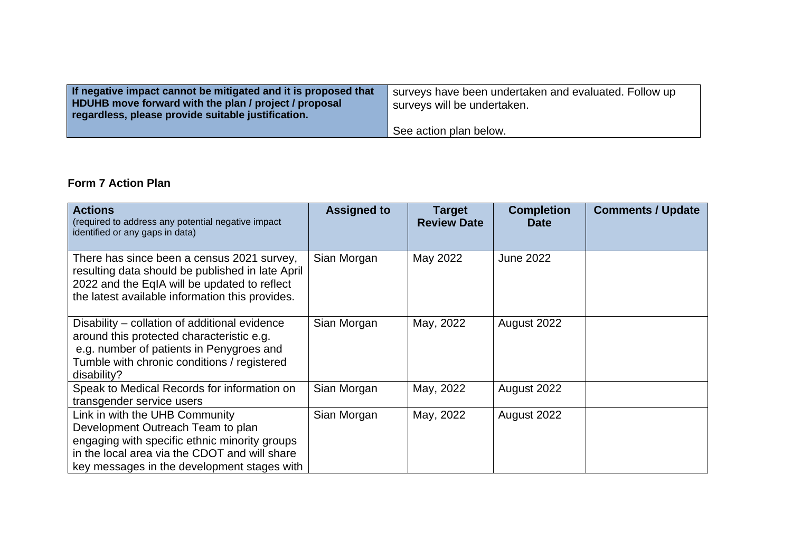| If negative impact cannot be mitigated and it is proposed that<br>HDUHB move forward with the plan / project / proposal<br>regardless, please provide suitable justification. | surveys have been undertaken and evaluated. Follow up<br>surveys will be undertaken. |
|-------------------------------------------------------------------------------------------------------------------------------------------------------------------------------|--------------------------------------------------------------------------------------|
|                                                                                                                                                                               | See action plan below.                                                               |

# **Form 7 Action Plan**

| <b>Actions</b><br>(required to address any potential negative impact<br>identified or any gaps in data)                                                                                                              | <b>Assigned to</b> | Target<br><b>Review Date</b> | <b>Completion</b><br><b>Date</b> | <b>Comments / Update</b> |
|----------------------------------------------------------------------------------------------------------------------------------------------------------------------------------------------------------------------|--------------------|------------------------------|----------------------------------|--------------------------|
| There has since been a census 2021 survey,<br>resulting data should be published in late April<br>2022 and the EqIA will be updated to reflect<br>the latest available information this provides.                    | Sian Morgan        | May 2022                     | <b>June 2022</b>                 |                          |
| Disability – collation of additional evidence<br>around this protected characteristic e.g.<br>e.g. number of patients in Penygroes and<br>Tumble with chronic conditions / registered<br>disability?                 | Sian Morgan        | May, 2022                    | August 2022                      |                          |
| Speak to Medical Records for information on<br>transgender service users                                                                                                                                             | Sian Morgan        | May, 2022                    | August 2022                      |                          |
| Link in with the UHB Community<br>Development Outreach Team to plan<br>engaging with specific ethnic minority groups<br>in the local area via the CDOT and will share<br>key messages in the development stages with | Sian Morgan        | May, 2022                    | August 2022                      |                          |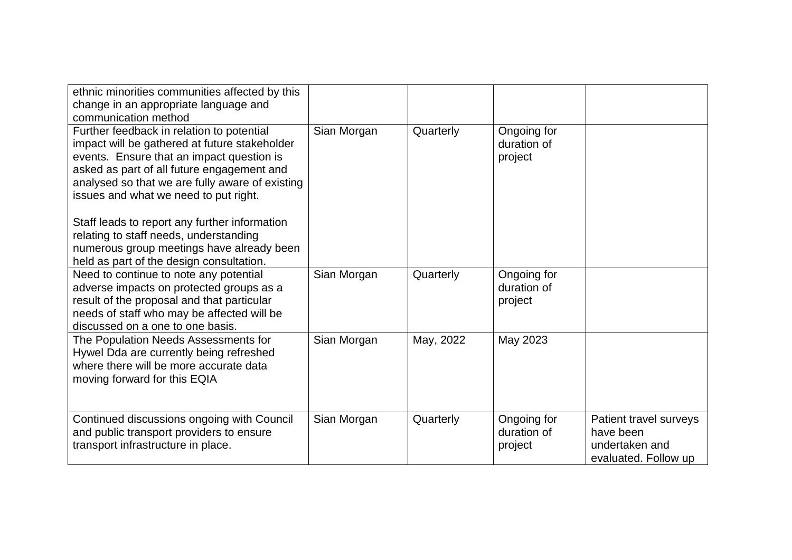| ethnic minorities communities affected by this<br>change in an appropriate language and<br>communication method                                                                                                                                                                   |             |           |                                       |                                                                               |
|-----------------------------------------------------------------------------------------------------------------------------------------------------------------------------------------------------------------------------------------------------------------------------------|-------------|-----------|---------------------------------------|-------------------------------------------------------------------------------|
| Further feedback in relation to potential<br>impact will be gathered at future stakeholder<br>events. Ensure that an impact question is<br>asked as part of all future engagement and<br>analysed so that we are fully aware of existing<br>issues and what we need to put right. | Sian Morgan | Quarterly | Ongoing for<br>duration of<br>project |                                                                               |
| Staff leads to report any further information<br>relating to staff needs, understanding<br>numerous group meetings have already been<br>held as part of the design consultation.                                                                                                  |             |           |                                       |                                                                               |
| Need to continue to note any potential<br>adverse impacts on protected groups as a<br>result of the proposal and that particular<br>needs of staff who may be affected will be<br>discussed on a one to one basis.                                                                | Sian Morgan | Quarterly | Ongoing for<br>duration of<br>project |                                                                               |
| The Population Needs Assessments for<br>Hywel Dda are currently being refreshed<br>where there will be more accurate data<br>moving forward for this EQIA                                                                                                                         | Sian Morgan | May, 2022 | May 2023                              |                                                                               |
| Continued discussions ongoing with Council<br>and public transport providers to ensure<br>transport infrastructure in place.                                                                                                                                                      | Sian Morgan | Quarterly | Ongoing for<br>duration of<br>project | Patient travel surveys<br>have been<br>undertaken and<br>evaluated. Follow up |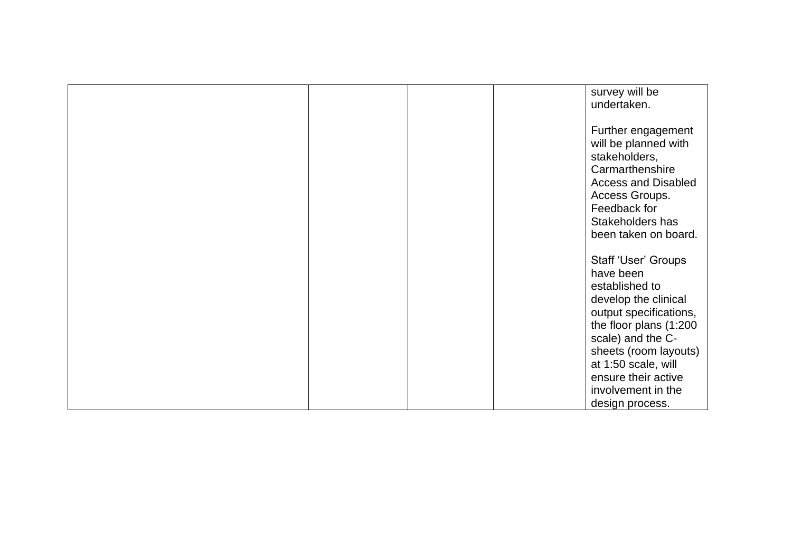|  | survey will be<br>undertaken.                                                                                                                                                                                                                                       |
|--|---------------------------------------------------------------------------------------------------------------------------------------------------------------------------------------------------------------------------------------------------------------------|
|  | Further engagement<br>will be planned with<br>stakeholders,<br>Carmarthenshire<br><b>Access and Disabled</b><br>Access Groups.<br>Feedback for<br>Stakeholders has<br>been taken on board.                                                                          |
|  | Staff 'User' Groups<br>have been<br>established to<br>develop the clinical<br>output specifications,<br>the floor plans (1:200<br>scale) and the C-<br>sheets (room layouts)<br>at 1:50 scale, will<br>ensure their active<br>involvement in the<br>design process. |